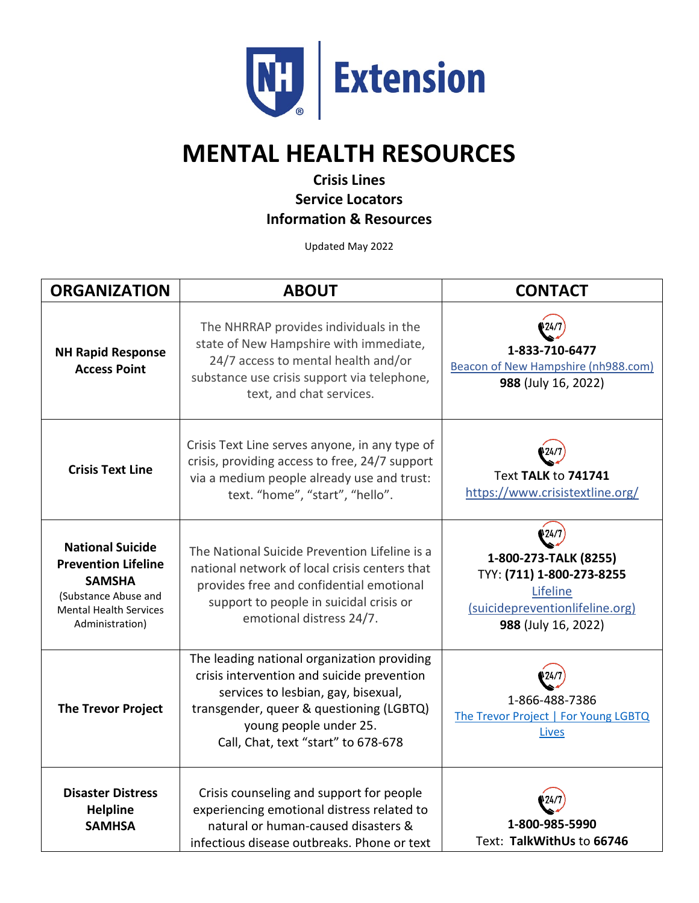

## **MENTAL HEALTH RESOURCES**

## **Crisis Lines Service Locators Information & Resources**

Updated May 2022

| <b>ORGANIZATION</b>                                                                                                                                | <b>ABOUT</b>                                                                                                                                                                                                                                  | <b>CONTACT</b>                                                                                                                    |
|----------------------------------------------------------------------------------------------------------------------------------------------------|-----------------------------------------------------------------------------------------------------------------------------------------------------------------------------------------------------------------------------------------------|-----------------------------------------------------------------------------------------------------------------------------------|
| <b>NH Rapid Response</b><br><b>Access Point</b>                                                                                                    | The NHRRAP provides individuals in the<br>state of New Hampshire with immediate,<br>24/7 access to mental health and/or<br>substance use crisis support via telephone,<br>text, and chat services.                                            | 1-833-710-6477<br><b>Beacon of New Hampshire (nh988.com)</b><br>988 (July 16, 2022)                                               |
| <b>Crisis Text Line</b>                                                                                                                            | Crisis Text Line serves anyone, in any type of<br>crisis, providing access to free, 24/7 support<br>via a medium people already use and trust:<br>text. "home", "start", "hello".                                                             | <b>Text TALK to 741741</b><br>https://www.crisistextline.org/                                                                     |
| <b>National Suicide</b><br><b>Prevention Lifeline</b><br><b>SAMSHA</b><br>(Substance Abuse and<br><b>Mental Health Services</b><br>Administration) | The National Suicide Prevention Lifeline is a<br>national network of local crisis centers that<br>provides free and confidential emotional<br>support to people in suicidal crisis or<br>emotional distress 24/7.                             | 124/7<br>1-800-273-TALK (8255)<br>TYY: (711) 1-800-273-8255<br>Lifeline<br>(suicidepreventionlifeline.org)<br>988 (July 16, 2022) |
| <b>The Trevor Project</b>                                                                                                                          | The leading national organization providing<br>crisis intervention and suicide prevention<br>services to lesbian, gay, bisexual,<br>transgender, queer & questioning (LGBTQ)<br>young people under 25.<br>Call, Chat, text "start" to 678-678 | 1-866-488-7386<br>The Trevor Project   For Young LGBTQ<br>Lives                                                                   |
| <b>Disaster Distress</b><br><b>Helpline</b><br><b>SAMHSA</b>                                                                                       | Crisis counseling and support for people<br>experiencing emotional distress related to<br>natural or human-caused disasters &<br>infectious disease outbreaks. Phone or text                                                                  | 1-800-985-5990<br>Text: TalkWithUs to 66746                                                                                       |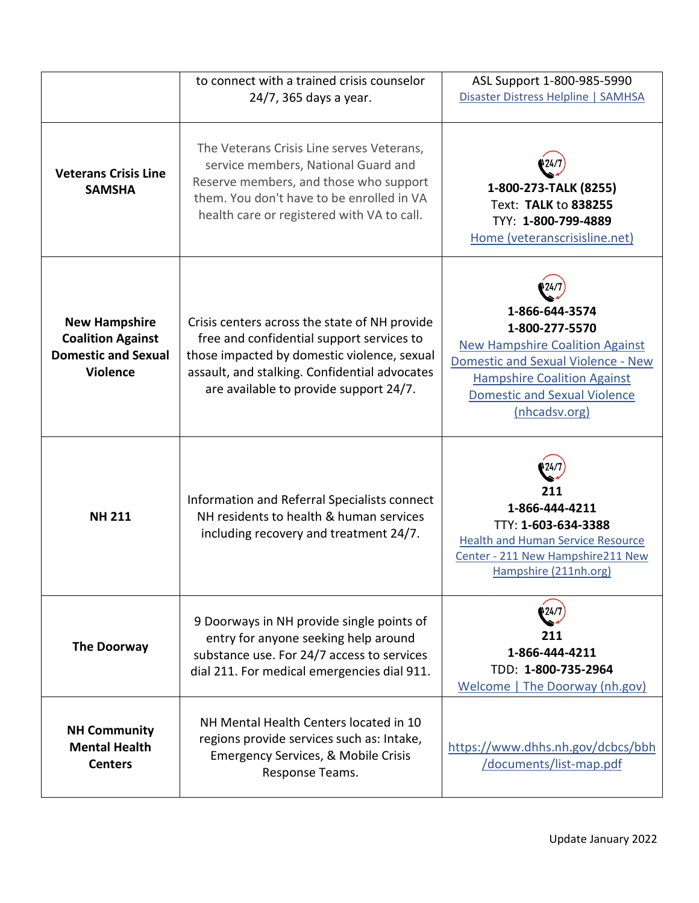|                                                                                                   | to connect with a trained crisis counselor<br>24/7, 365 days a year.                                                                                                                                                                 | ASL Support 1-800-985-5990<br>Disaster Distress Helpline   SAMHSA                                                                                                                                                     |
|---------------------------------------------------------------------------------------------------|--------------------------------------------------------------------------------------------------------------------------------------------------------------------------------------------------------------------------------------|-----------------------------------------------------------------------------------------------------------------------------------------------------------------------------------------------------------------------|
| <b>Veterans Crisis Line</b><br><b>SAMSHA</b>                                                      | The Veterans Crisis Line serves Veterans,<br>service members, National Guard and<br>Reserve members, and those who support<br>them. You don't have to be enrolled in VA<br>health care or registered with VA to call.                | 1-800-273-TALK (8255)<br>Text: TALK to 838255<br>TYY: 1-800-799-4889<br>Home (veteranscrisisline.net)                                                                                                                 |
| <b>New Hampshire</b><br><b>Coalition Against</b><br><b>Domestic and Sexual</b><br><b>Violence</b> | Crisis centers across the state of NH provide<br>free and confidential support services to<br>those impacted by domestic violence, sexual<br>assault, and stalking. Confidential advocates<br>are available to provide support 24/7. | 1-866-644-3574<br>1-800-277-5570<br><b>New Hampshire Coalition Against</b><br><b>Domestic and Sexual Violence - New</b><br><b>Hampshire Coalition Against</b><br><b>Domestic and Sexual Violence</b><br>(nhcadsv.org) |
| <b>NH 211</b>                                                                                     | Information and Referral Specialists connect<br>NH residents to health & human services<br>including recovery and treatment 24/7.                                                                                                    | 211<br>1-866-444-4211<br>TTY: 1-603-634-3388<br><b>Health and Human Service Resource</b><br>Center - 211 New Hampshire211 New<br>Hampshire (211nh.org)                                                                |
| <b>The Doorway</b>                                                                                | 9 Doorways in NH provide single points of<br>entry for anyone seeking help around<br>substance use. For 24/7 access to services<br>dial 211. For medical emergencies dial 911.                                                       | '24/<br>211<br>1-866-444-4211<br>TDD: 1-800-735-2964<br><b>Welcome</b>   The Doorway (nh.gov)                                                                                                                         |
| <b>NH Community</b><br><b>Mental Health</b><br><b>Centers</b>                                     | NH Mental Health Centers located in 10<br>regions provide services such as: Intake,<br>Emergency Services, & Mobile Crisis<br>Response Teams.                                                                                        | https://www.dhhs.nh.gov/dcbcs/bbh<br>/documents/list-map.pdf                                                                                                                                                          |